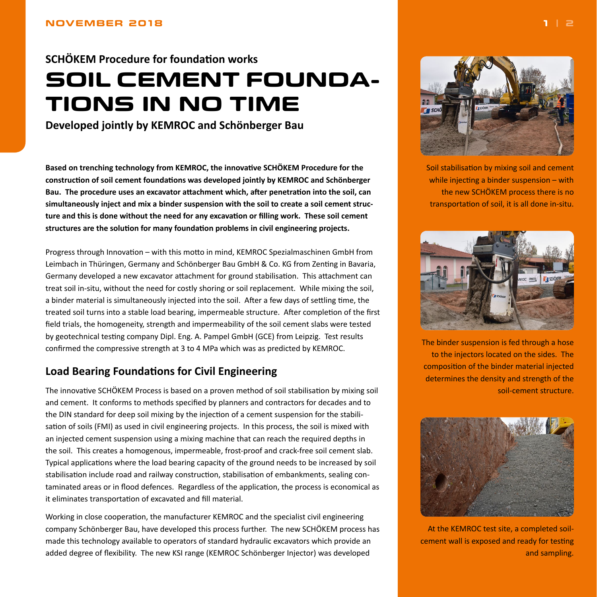# <span id="page-0-0"></span>**SCHÖKEM Procedure for foundation works SOIL CEMENT FOUNDA-TIONS IN NO TIME**

**Developed jointly by KEMROC and Schönberger Bau**

**Based on trenching technology from KEMROC, the innovative SCHÖKEM Procedure for the construction of soil cement foundations was developed jointly by KEMROC and Schönberger Bau. The procedure uses an excavator attachment which, after penetration into the soil, can simultaneously inject and mix a binder suspension with the soil to create a soil cement structure and this is done without the need for any excavation or filling work. These soil cement structures are the solution for many foundation problems in civil engineering projects.**

Progress through Innovation – with this motto in mind, KEMROC Spezialmaschinen GmbH from Leimbach in Thüringen, Germany and Schönberger Bau GmbH & Co. KG from Zenting in Bavaria, Germany developed a new excavator attachment for ground stabilisation. This attachment can treat soil in-situ, without the need for costly shoring or soil replacement. While mixing the soil, a binder material is simultaneously injected into the soil. After a few days of settling time, the treated soil turns into a stable load bearing, impermeable structure. After completion of the first field trials, the homogeneity, strength and impermeability of the soil cement slabs were tested by geotechnical testing company Dipl. Eng. A. Pampel GmbH (GCE) from Leipzig. Test results confirmed the compressive strength at 3 to 4 MPa which was as predicted by KEMROC.

## **Load Bearing Foundations for Civil Engineering**

The innovative SCHÖKEM Process is based on a proven method of soil stabilisation by mixing soil and cement. It conforms to methods specified by planners and contractors for decades and to the DIN standard for deep soil mixing by the injection of a cement suspension for the stabilisation of soils (FMI) as used in civil engineering projects. In this process, the soil is mixed with an injected cement suspension using a mixing machine that can reach the required depths in the soil. This creates a homogenous, impermeable, frost-proof and crack-free soil cement slab. Typical applications where the load bearing capacity of the ground needs to be increased by soil stabilisation include road and railway construction, stabilisation of embankments, sealing contaminated areas or in flood defences. Regardless of the application, the process is economical as it eliminates transportation of excavated and fill material.

Working in close cooperation, the manufacturer KEMROC and the specialist civil engineering company Schönberger Bau, have developed this process further. The new SCHÖKEM process has made this technology available to operators of standard hydraulic excavators which provide an added degree of flexibility. The new KSI range (KEMROC Schönberger Injector) was developed



Soil stabilisation by mixing soil and cement while injecting a binder suspension – with the new SCHÖKEM process there is no transportation of soil, it is all done in-situ.



The binder suspension is fed through a hose to the injectors located on the sides. The composition of the binder material injected determines the density and strength of the soil-cement structure.



At the KEMROC test site, a completed soilcement wall is exposed and ready for testing and sampling.